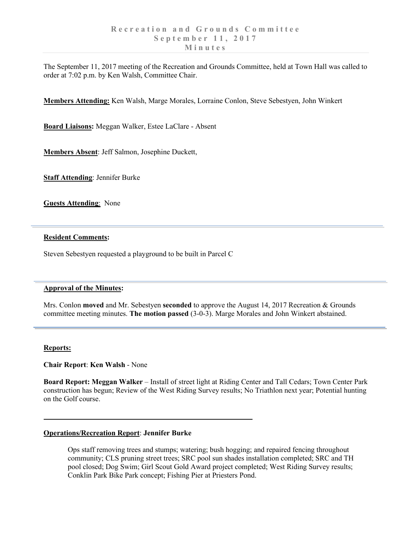The September 11, 2017 meeting of the Recreation and Grounds Committee, held at Town Hall was called to order at 7:02 p.m. by Ken Walsh, Committee Chair.

**Members Attending:** Ken Walsh, Marge Morales, Lorraine Conlon, Steve Sebestyen, John Winkert

**Board Liaisons:** Meggan Walker, Estee LaClare - Absent

**Members Absent**: Jeff Salmon, Josephine Duckett,

**Staff Attending**: Jennifer Burke

**Guests Attending**: None

#### **Resident Comments:**

Steven Sebestyen requested a playground to be built in Parcel C

#### **Approval of the Minutes:**

Mrs. Conlon **moved** and Mr. Sebestyen **seconded** to approve the August 14, 2017 Recreation & Grounds committee meeting minutes. **The motion passed** (3-0-3). Marge Morales and John Winkert abstained.

#### **Reports:**

**Chair Report**: **Ken Walsh** - None

**Board Report: Meggan Walker** – Install of street light at Riding Center and Tall Cedars; Town Center Park construction has begun; Review of the West Riding Survey results; No Triathlon next year; Potential hunting on the Golf course.

### **Operations/Recreation Report**: **Jennifer Burke**

Ops staff removing trees and stumps; watering; bush hogging; and repaired fencing throughout community; CLS pruning street trees; SRC pool sun shades installation completed; SRC and TH pool closed; Dog Swim; Girl Scout Gold Award project completed; West Riding Survey results; Conklin Park Bike Park concept; Fishing Pier at Priesters Pond.